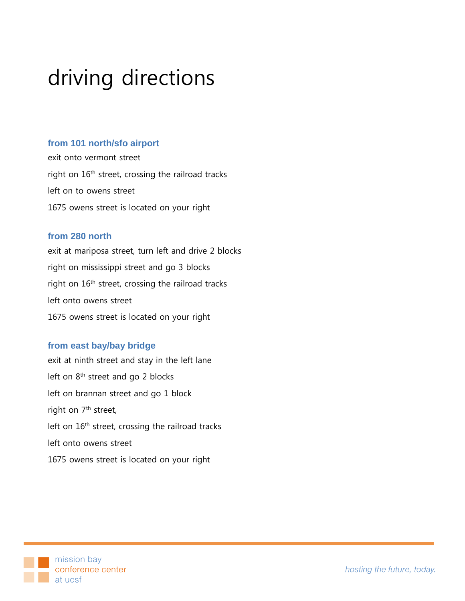# driving directions

#### **from 101 north/sfo airport**

exit onto vermont street right on 16<sup>th</sup> street, crossing the railroad tracks left on to owens street 1675 owens street is located on your right

#### **from 280 north**

exit at mariposa street, turn left and drive 2 blocks right on mississippi street and go 3 blocks right on  $16<sup>th</sup>$  street, crossing the railroad tracks left onto owens street 1675 owens street is located on your right

## **from east bay/bay bridge**

exit at ninth street and stay in the left lane left on 8<sup>th</sup> street and go 2 blocks left on brannan street and go 1 block right on 7<sup>th</sup> street, left on 16<sup>th</sup> street, crossing the railroad tracks left onto owens street 1675 owens street is located on your right